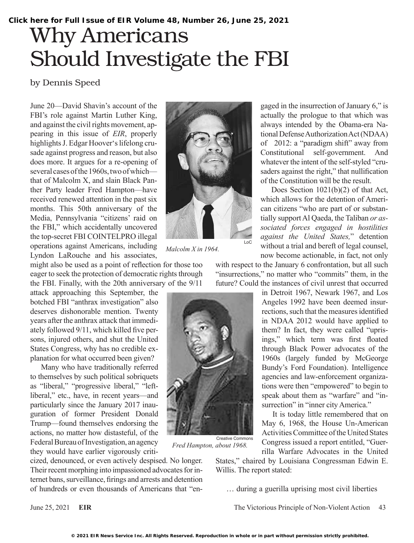## Why Americans Should Investigate the FBI

## by Dennis Speed

June 20—David Shavin's account of the FBI's role against Martin Luther King, and against the civil rights movement, appearing in this issue of *EIR*, properly highlights J. Edgar Hoover's lifelong crusade against progress and reason, but also does more. It argues for a re-opening of several cases of the 1960s, two of which that of Malcolm X, and slain Black Panther Party leader Fred Hampton—have received renewed attention in the past six months. This 50th anniversary of the Media, Pennsylvania "citizens' raid on the FBI," which accidentally uncovered the top-secret FBI COINTELPRO illegal operations against Americans, including Lyndon LaRouche and his associates,



*Malcolm X in 1964.*

might also be used as a point of reflection for those too eager to seek the protection of democratic rights through the FBI. Finally, with the 20th anniversary of the 9/11

attack approaching this September, the botched FBI "anthrax investigation" also deserves dishonorable mention. Twenty years after the anthrax attack that immediately followed 9/11, which killed five persons, injured others, and shut the United States Congress, why has no credible explanation for what occurred been given?

Many who have traditionally referred to themselves by such political sobriquets as "liberal," "progressive liberal," "leftliberal," etc., have, in recent years—and particularly since the January 2017 inauguration of former President Donald Trump—found themselves endorsing the actions, no matter how distasteful, of the Federal Bureau of Investigation, an agency they would have earlier vigorously criti-

cized, denounced, or even actively despised. No longer. Their recent morphing into impassioned advocates for internet bans, surveillance, firings and arrests and detention of hundreds or even thousands of Americans that "en-

gaged in the insurrection of January 6," is actually the prologue to that which was always intended by the Obama-era National Defense Authorization Act (NDAA) of 2012: a "paradigm shift" away from Constitutional self-government. And whatever the intent of the self-styled "crusaders against the right," that nullification of the Constitution will be the result.

Does Section 1021(b)(2) of that Act, which allows for the detention of American citizens "who are part of or substantially support Al Qaeda, the Taliban *or associated forces engaged in hostilities against the United States,*" detention without a trial and bereft of legal counsel, now become actionable, in fact, not only

with respect to the January 6 confrontation, but all such "insurrections," no matter who "commits" them, in the future? Could the instances of civil unrest that occurred

> in Detroit 1967, Newark 1967, and Los Angeles 1992 have been deemed insurrections, such that the measures identified in NDAA 2012 would have applied to them? In fact, they were called "uprisings," which term was first floated through Black Power advocates of the 1960s (largely funded by McGeorge Bundy's Ford Foundation). Intelligence agencies and law-enforcement organizations were then "empowered" to begin to speak about them as "warfare" and "insurrection" in "inner city America."

> It is today little remembered that on May 6, 1968, the House Un-American Activities Committee of the United States Congress issued a report entitled, "Guerrilla Warfare Advocates in the United

States," chaired by Louisiana Congressman Edwin E. Willis. The report stated:

… during a guerilla uprising most civil liberties

June 25, 2021 **EIR** The Victorious Principle of Non-Violent Action 43

Creative Commons

*Fred Hampton, about 1968.*